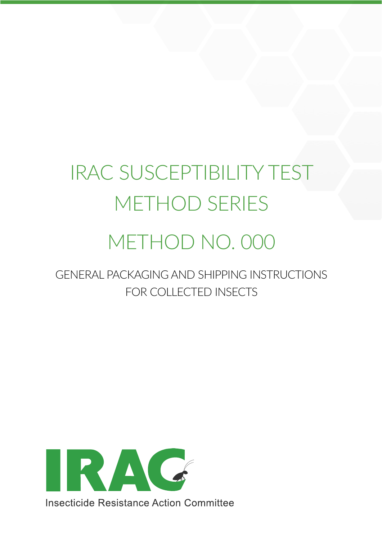# IRAC SUSCEPTIBILITY TEST METHOD SERIES METHOD NO. 000

GENERAL PACKAGING AND SHIPPING INSTRUCTIONS FOR COLLECTED INSECTS

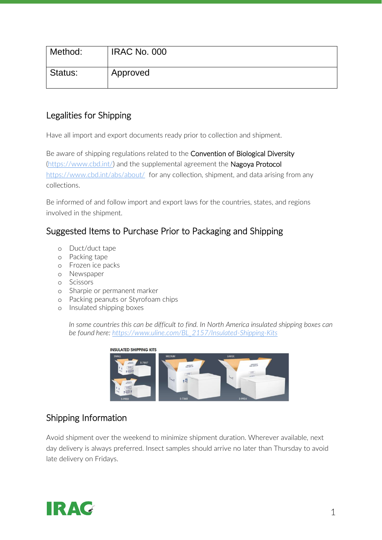| Method: | IRAC No. 000 |
|---------|--------------|
| Status: | Approved     |

#### Legalities for Shipping

Have all import and export documents ready prior to collection and shipment.

Be aware of shipping regulations related to the Convention of Biological Diversity [\(https://www.cbd.int/\)](https://www.cbd.int/) and the supplemental agreement the Nagoya Protocol <https://www.cbd.int/abs/about/>for any collection, shipment, and data arising from any collections.

Be informed of and follow import and export laws for the countries, states, and regions involved in the shipment.

# Suggested Items to Purchase Prior to Packaging and Shipping

- o Duct/duct tape
- o Packing tape
- o Frozen ice packs
- o Newspaper
- o Scissors
- o Sharpie or permanent marker
- o Packing peanuts or Styrofoam chips
- o Insulated shipping boxes

*In some countries this can be difficult to find. In North America insulated shipping boxes can be found here: [https://www.uline.com/BL\\_2157/Insulated-Shipping-Kits](https://www.uline.com/BL_2157/Insulated-Shipping-Kits)*



# Shipping Information

Avoid shipment over the weekend to minimize shipment duration. Wherever available, next day delivery is always preferred. Insect samples should arrive no later than Thursday to avoid late delivery on Fridays.

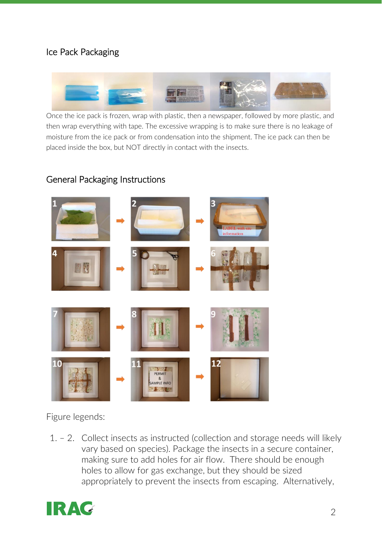## Ice Pack Packaging



Once the ice pack is frozen, wrap with plastic, then a newspaper, followed by more plastic, and then wrap everything with tape. The excessive wrapping is to make sure there is no leakage of moisture from the ice pack or from condensation into the shipment. The ice pack can then be placed inside the box, but NOT directly in contact with the insects.

### General Packaging Instructions



Figure legends:

1. – 2. Collect insects as instructed (collection and storage needs will likely vary based on species). Package the insects in a secure container, making sure to add holes for air flow. There should be enough holes to allow for gas exchange, but they should be sized appropriately to prevent the insects from escaping. Alternatively,

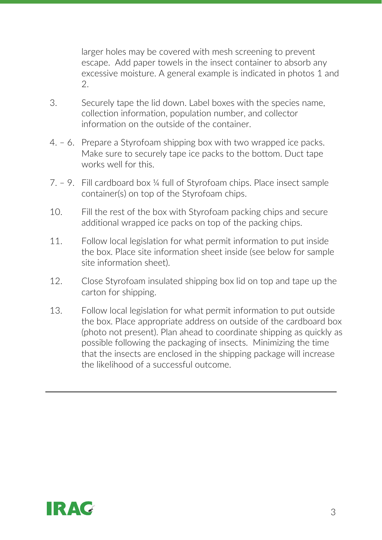larger holes may be covered with mesh screening to prevent escape. Add paper towels in the insect container to absorb any excessive moisture. A general example is indicated in photos 1 and 2.

- 3. Securely tape the lid down. Label boxes with the species name, collection information, population number, and collector information on the outside of the container.
- 4. 6. Prepare a Styrofoam shipping box with two wrapped ice packs. Make sure to securely tape ice packs to the bottom. Duct tape works well for this.
- 7. 9. Fill cardboard box ¼ full of Styrofoam chips. Place insect sample container(s) on top of the Styrofoam chips.
- 10. Fill the rest of the box with Styrofoam packing chips and secure additional wrapped ice packs on top of the packing chips.
- 11. Follow local legislation for what permit information to put inside the box. Place site information sheet inside (see below for sample site information sheet).
- 12. Close Styrofoam insulated shipping box lid on top and tape up the carton for shipping.
- 13. Follow local legislation for what permit information to put outside the box. Place appropriate address on outside of the cardboard box (photo not present). Plan ahead to coordinate shipping as quickly as possible following the packaging of insects. Minimizing the time that the insects are enclosed in the shipping package will increase the likelihood of a successful outcome.